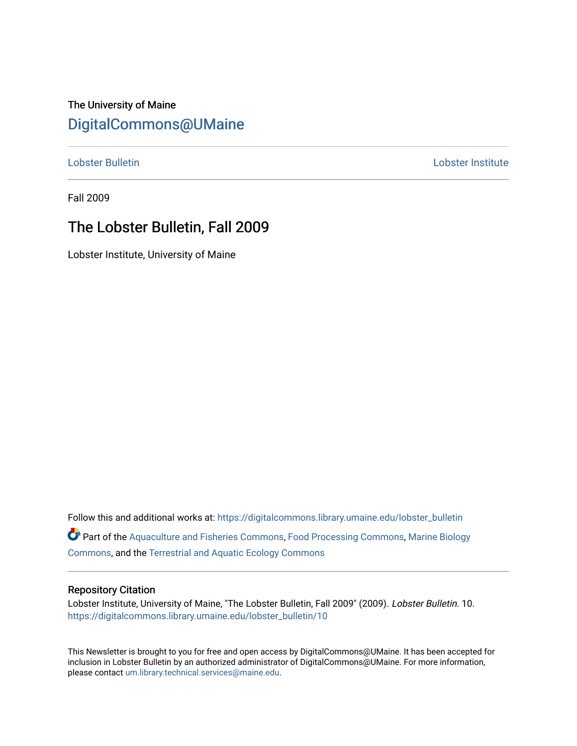## The University of Maine [DigitalCommons@UMaine](https://digitalcommons.library.umaine.edu/)

[Lobster Bulletin](https://digitalcommons.library.umaine.edu/lobster_bulletin) [Lobster Institute](https://digitalcommons.library.umaine.edu/lobster) 

Fall 2009

## The Lobster Bulletin, Fall 2009

Lobster Institute, University of Maine

Follow this and additional works at: [https://digitalcommons.library.umaine.edu/lobster\\_bulletin](https://digitalcommons.library.umaine.edu/lobster_bulletin?utm_source=digitalcommons.library.umaine.edu%2Flobster_bulletin%2F10&utm_medium=PDF&utm_campaign=PDFCoverPages) Part of the [Aquaculture and Fisheries Commons](http://network.bepress.com/hgg/discipline/78?utm_source=digitalcommons.library.umaine.edu%2Flobster_bulletin%2F10&utm_medium=PDF&utm_campaign=PDFCoverPages), [Food Processing Commons,](http://network.bepress.com/hgg/discipline/85?utm_source=digitalcommons.library.umaine.edu%2Flobster_bulletin%2F10&utm_medium=PDF&utm_campaign=PDFCoverPages) [Marine Biology](http://network.bepress.com/hgg/discipline/1126?utm_source=digitalcommons.library.umaine.edu%2Flobster_bulletin%2F10&utm_medium=PDF&utm_campaign=PDFCoverPages) [Commons](http://network.bepress.com/hgg/discipline/1126?utm_source=digitalcommons.library.umaine.edu%2Flobster_bulletin%2F10&utm_medium=PDF&utm_campaign=PDFCoverPages), and the [Terrestrial and Aquatic Ecology Commons](http://network.bepress.com/hgg/discipline/20?utm_source=digitalcommons.library.umaine.edu%2Flobster_bulletin%2F10&utm_medium=PDF&utm_campaign=PDFCoverPages) 

#### Repository Citation

Lobster Institute, University of Maine, "The Lobster Bulletin, Fall 2009" (2009). Lobster Bulletin. 10. [https://digitalcommons.library.umaine.edu/lobster\\_bulletin/10](https://digitalcommons.library.umaine.edu/lobster_bulletin/10?utm_source=digitalcommons.library.umaine.edu%2Flobster_bulletin%2F10&utm_medium=PDF&utm_campaign=PDFCoverPages) 

This Newsletter is brought to you for free and open access by DigitalCommons@UMaine. It has been accepted for inclusion in Lobster Bulletin by an authorized administrator of DigitalCommons@UMaine. For more information, please contact [um.library.technical.services@maine.edu.](mailto:um.library.technical.services@maine.edu)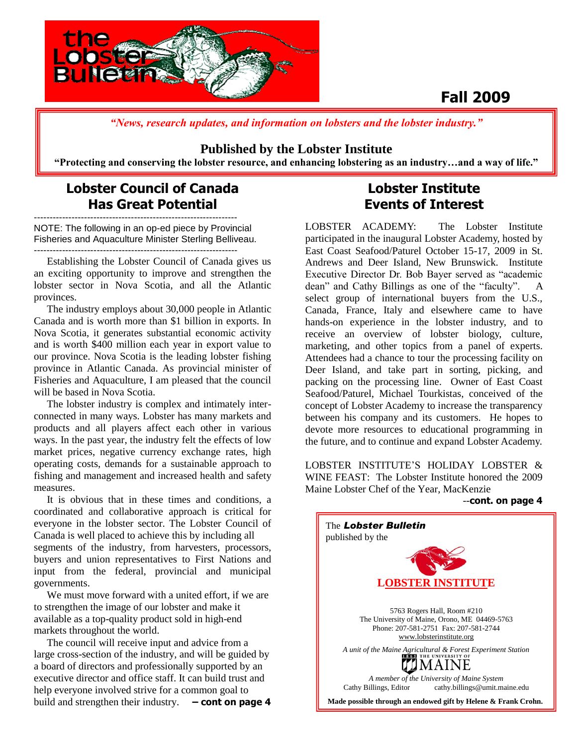

# **Fall 2009**

*"News, research updates, and information on lobsters and the lobster industry."*

### **Published by the Lobster Institute**

**"Protecting and conserving the lobster resource, and enhancing lobstering as an industry…and a way of life."**

### **Lobster Council of Canada Has Great Potential**

----------------------------------------------------------------- NOTE: The following in an op-ed piece by Provincial Fisheries and Aquaculture Minister Sterling Belliveau. -----------------------------------------------------------------

 Establishing the Lobster Council of Canada gives us an exciting opportunity to improve and strengthen the lobster sector in Nova Scotia, and all the Atlantic provinces.

 The industry employs about 30,000 people in Atlantic Canada and is worth more than \$1 billion in exports. In Nova Scotia, it generates substantial economic activity and is worth \$400 million each year in export value to our province. Nova Scotia is the leading lobster fishing province in Atlantic Canada. As provincial minister of Fisheries and Aquaculture, I am pleased that the council will be based in Nova Scotia.

 The lobster industry is complex and intimately interconnected in many ways. Lobster has many markets and products and all players affect each other in various ways. In the past year, the industry felt the effects of low market prices, negative currency exchange rates, high operating costs, demands for a sustainable approach to fishing and management and increased health and safety measures.

 It is obvious that in these times and conditions, a coordinated and collaborative approach is critical for everyone in the lobster sector. The Lobster Council of Canada is well placed to achieve this by including all segments of the industry, from harvesters, processors, buyers and union representatives to First Nations and input from the federal, provincial and municipal governments.

 We must move forward with a united effort, if we are to strengthen the image of our lobster and make it available as a top-quality product sold in high-end markets throughout the world.

 The council will receive input and advice from a large cross-section of the industry, and will be guided by a board of directors and professionally supported by an executive director and office staff. It can build trust and help everyone involved strive for a common goal to build and strengthen their industry. **– cont on page 4**

## **Lobster Institute Events of Interest**

LOBSTER ACADEMY: The Lobster Institute participated in the inaugural Lobster Academy, hosted by East Coast Seafood/Paturel October 15-17, 2009 in St. Andrews and Deer Island, New Brunswick. Institute Executive Director Dr. Bob Bayer served as "academic dean" and Cathy Billings as one of the "faculty". A select group of international buyers from the U.S., Canada, France, Italy and elsewhere came to have hands-on experience in the lobster industry, and to receive an overview of lobster biology, culture, marketing, and other topics from a panel of experts. Attendees had a chance to tour the processing facility on Deer Island, and take part in sorting, picking, and packing on the processing line. Owner of East Coast Seafood/Paturel, Michael Tourkistas, conceived of the concept of Lobster Academy to increase the transparency between his company and its customers. He hopes to devote more resources to educational programming in the future, and to continue and expand Lobster Academy.

LOBSTER INSTITUTE'S HOLIDAY LOBSTER & WINE FEAST: The Lobster Institute honored the 2009 Maine Lobster Chef of the Year, MacKenzie

#### --**cont. on page 4**

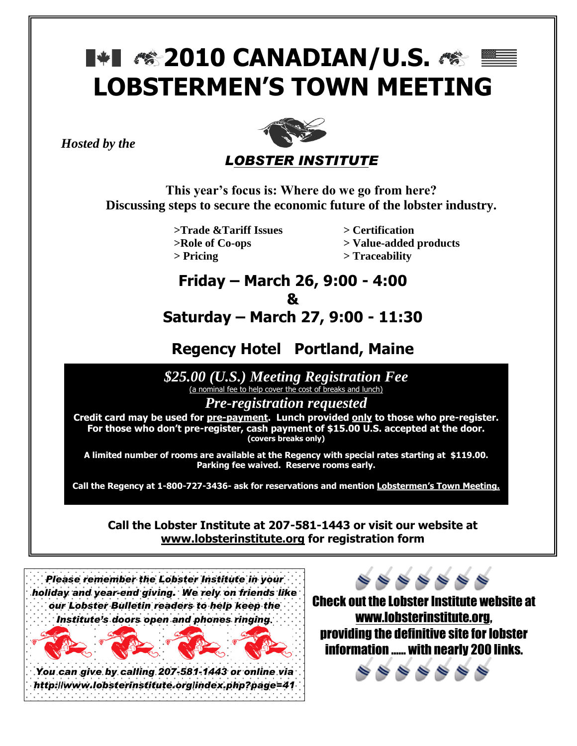# **1\*1 /\* 2010 CANADIAN/U.S. /\***  $\equiv$ **LOBSTERMEN'S TOWN MEETING**

*Hosted by the* 



**This year's focus is: Where do we go from here? Discussing steps to secure the economic future of the lobster industry.**

> **>Trade &Tariff Issues > Certification >Role of Co-ops > Value-added products > Pricing > Traceability**

# **Friday – March 26, 9:00 - 4:00 &**

# **Saturday – March 27, 9:00 - 11:30**

# **Regency Hotel Portland, Maine**

**Continue of the day of the day of the day of the day of the day of the day of the day of the day of the day of the day of the day of the day of the day of the day of the day of the day of the day of the day of the day of** (a nominal fee to help cover the cost of breaks and lunch)

*Pre-registration requested*

**Credit card may be used for pre-payment. Lunch provided only to those who pre-register. For those who don't pre-register, cash payment of \$15.00 U.S. accepted at the door. (covers breaks only)**

**A limited number of rooms are available at the Regency with special rates starting at \$119.00. Parking fee waived. Reserve rooms early.** 

**Call the Regency at 1-800-727-3436- ask for reservations and mention Lobstermen's Town Meeting.**

**Call the Lobster Institute at 207-581-1443 or visit our website at [www.lobsterinstitute.org](http://www.lobsterinstitute.org/) for registration form**



Check out the Lobster Institute website at [www.lobsterinstitute.org,](http://www.lobsterinstitute.org/) providing the definitive site for lobster information …… with nearly 200 links.

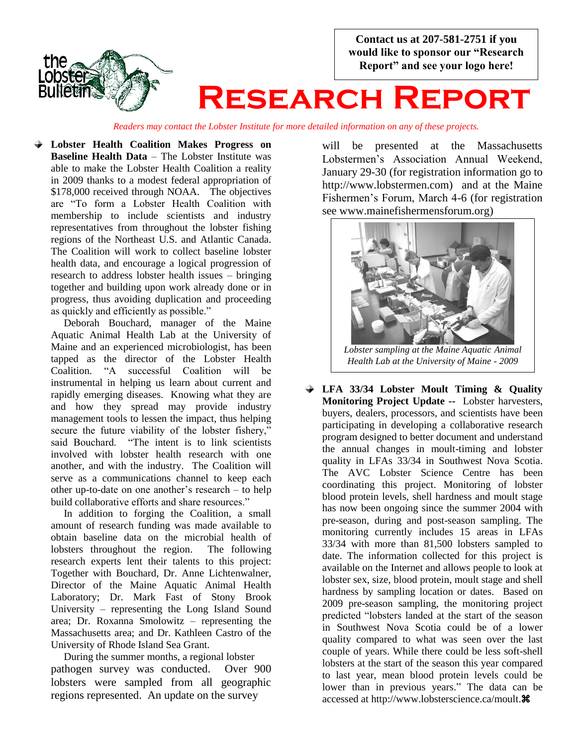**Contact us at 207-581-2751 if you would like to sponsor our "Research Report" and see your logo here!**



# **Research Report**

*Readers may contact the Lobster Institute for more detailed information on any of these projects.*

**Lobster Health Coalition Makes Progress on Baseline Health Data** – The Lobster Institute was able to make the Lobster Health Coalition a reality in 2009 thanks to a modest federal appropriation of \$178,000 received through NOAA. The objectives are "To form a Lobster Health Coalition with membership to include scientists and industry representatives from throughout the lobster fishing regions of the Northeast U.S. and Atlantic Canada. The Coalition will work to collect baseline lobster health data, and encourage a logical progression of research to address lobster health issues – bringing together and building upon work already done or in progress, thus avoiding duplication and proceeding as quickly and efficiently as possible."

 Deborah Bouchard, manager of the Maine Aquatic Animal Health Lab at the University of Maine and an experienced microbiologist, has been tapped as the director of the Lobster Health Coalition. "A successful Coalition will be instrumental in helping us learn about current and rapidly emerging diseases. Knowing what they are and how they spread may provide industry management tools to lessen the impact, thus helping secure the future viability of the lobster fishery," said Bouchard. "The intent is to link scientists involved with lobster health research with one another, and with the industry. The Coalition will serve as a communications channel to keep each other up-to-date on one another's research – to help build collaborative efforts and share resources."

 In addition to forging the Coalition, a small amount of research funding was made available to obtain baseline data on the microbial health of lobsters throughout the region. The following research experts lent their talents to this project: Together with Bouchard, Dr. Anne Lichtenwalner, Director of the Maine Aquatic Animal Health Laboratory; Dr. Mark Fast of Stony Brook University – representing the Long Island Sound area; Dr. Roxanna Smolowitz – representing the Massachusetts area; and Dr. Kathleen Castro of the University of Rhode Island Sea Grant.

 During the summer months, a regional lobster pathogen survey was conducted. Over 900 lobsters were sampled from all geographic regions represented. An update on the survey

will be presented at the Massachusetts Lobstermen's Association Annual Weekend, January 29-30 (for registration information go to http://www.lobstermen.com) and at the Maine Fishermen's Forum, March 4-6 (for registration see www.mainefishermensforum.org)



*Health Lab at the University of Maine - 2009*

**LFA 33/34 Lobster Moult Timing & Quality Monitoring Project Update --** Lobster harvesters, buyers, dealers, processors, and scientists have been participating in developing a collaborative research program designed to better document and understand the annual changes in moult-timing and lobster quality in LFAs 33/34 in Southwest Nova Scotia. The AVC Lobster Science Centre has been coordinating this project. Monitoring of lobster blood protein levels, shell hardness and moult stage has now been ongoing since the summer 2004 with pre-season, during and post-season sampling. The monitoring currently includes 15 areas in LFAs 33/34 with more than 81,500 lobsters sampled to date. The information collected for this project is available on the Internet and allows people to look at lobster sex, size, blood protein, moult stage and shell hardness by sampling location or dates. Based on 2009 pre-season sampling, the monitoring project predicted "lobsters landed at the start of the season in Southwest Nova Scotia could be of a lower quality compared to what was seen over the last couple of years. While there could be less soft-shell lobsters at the start of the season this year compared to last year, mean blood protein levels could be lower than in previous years." The data can be accessed at http://www.lobsterscience.ca/moult.